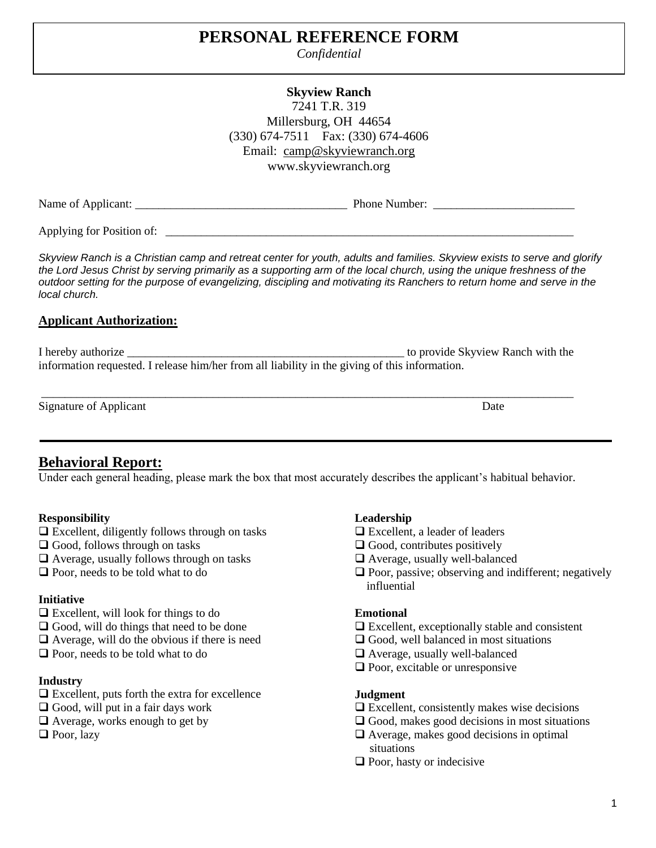# **PERSONAL REFERENCE FORM**

*Confidential*

### **Skyview Ranch** 7241 T.R. 319 Millersburg, OH 44654 (330) 674-7511 Fax: (330) 674-4606 Email: [camp@skyviewranch.org](mailto:camp@skyviewranch.org) www.skyviewranch.org

Applying for Position of:

Skyview Ranch is a Christian camp and retreat center for youth, adults and families. Skyview exists to serve and glorify *the Lord Jesus Christ by serving primarily as a supporting arm of the local church, using the unique freshness of the outdoor setting for the purpose of evangelizing, discipling and motivating its Ranchers to return home and serve in the local church.*

# **Applicant Authorization:**

I hereby authorize the unit of the state of the state of the provide Skyview Ranch with the state of the state of the state of the state of the state of the state of the state of the state of the state of the state of the information requested. I release him/her from all liability in the giving of this information.

Signature of Applicant Date

# **Behavioral Report:**

Under each general heading, please mark the box that most accurately describes the applicant's habitual behavior.

# **Responsibility**

- $\Box$  Excellent, diligently follows through on tasks
- $\Box$  Good, follows through on tasks
- $\Box$  Average, usually follows through on tasks
- **Q** Poor, needs to be told what to do

# **Initiative**

- $\Box$  Excellent, will look for things to do
- $\Box$  Good, will do things that need to be done
- $\Box$  Average, will do the obvious if there is need
- **Q** Poor, needs to be told what to do

#### **Industry**

- $\Box$  Excellent, puts forth the extra for excellence
- $\Box$  Good, will put in a fair days work
- $\Box$  Average, works enough to get by
- Poor, lazy

# **Leadership**

- □ Excellent, a leader of leaders
- $\Box$  Good, contributes positively
- Average, usually well-balanced
- $\Box$  Poor, passive; observing and indifferent; negatively influential

#### **Emotional**

- $\Box$  Excellent, exceptionally stable and consistent
- $\Box$  Good, well balanced in most situations
- Average, usually well-balanced
- $\Box$  Poor, excitable or unresponsive

#### **Judgment**

- $\Box$  Excellent, consistently makes wise decisions
- $\Box$  Good, makes good decisions in most situations
- Average, makes good decisions in optimal situations
- $\Box$  Poor, hasty or indecisive

\_\_\_\_\_\_\_\_\_\_\_\_\_\_\_\_\_\_\_\_\_\_\_\_\_\_\_\_\_\_\_\_\_\_\_\_\_\_\_\_\_\_\_\_\_\_\_\_\_\_\_\_\_\_\_\_\_\_\_\_\_\_\_\_\_\_\_\_\_\_\_\_\_\_\_\_\_\_\_\_\_\_\_\_\_\_\_\_\_\_

Name of Applicant: \_\_\_\_\_\_\_\_\_\_\_\_\_\_\_\_\_\_\_\_\_\_\_\_\_\_\_\_\_\_\_\_\_\_\_\_ Phone Number: \_\_\_\_\_\_\_\_\_\_\_\_\_\_\_\_\_\_\_\_\_\_\_\_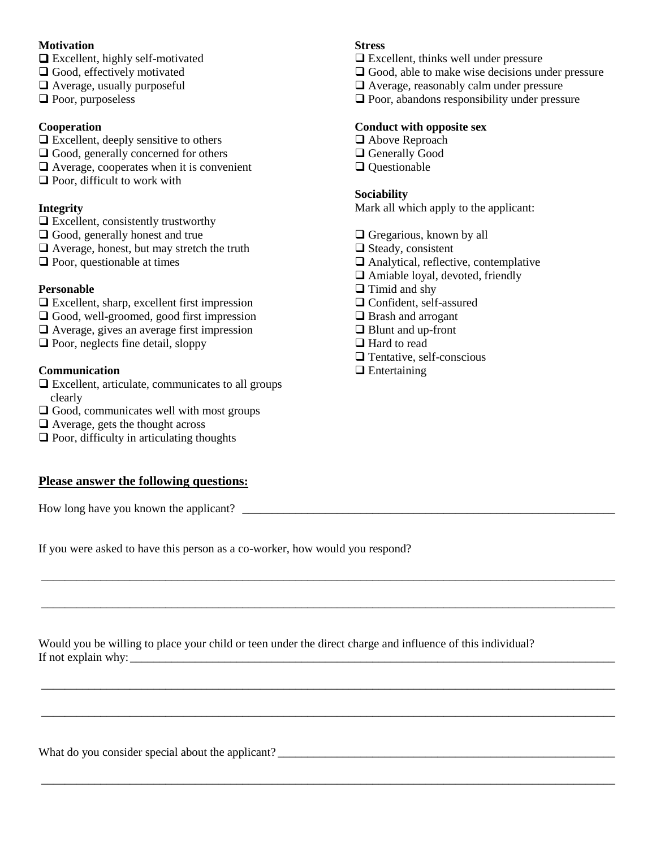#### **Motivation**

- Excellent, highly self-motivated
- □ Good, effectively motivated
- Average, usually purposeful
- **p** Poor, purposeless

#### **Cooperation**

- $\Box$  Excellent, deeply sensitive to others
- $\Box$  Good, generally concerned for others
- Average, cooperates when it is convenient
- $\Box$  Poor, difficult to work with

#### **Integrity**

- $\Box$  Excellent, consistently trustworthy
- □ Good, generally honest and true
- Average, honest, but may stretch the truth
- $\Box$  Poor, questionable at times

#### **Personable**

- $\Box$  Excellent, sharp, excellent first impression
- □ Good, well-groomed, good first impression
- □ Average, gives an average first impression
- $\Box$  Poor, neglects fine detail, sloppy

#### **Communication**

- $\Box$  Excellent, articulate, communicates to all groups clearly
- $\Box$  Good, communicates well with most groups
- $\Box$  Average, gets the thought across
- $\Box$  Poor, difficulty in articulating thoughts

#### **Please answer the following questions:**

How long have you known the applicant?

If you were asked to have this person as a co-worker, how would you respond?

Would you be willing to place your child or teen under the direct charge and influence of this individual? If not explain why: \_\_\_\_\_\_\_\_\_\_\_\_\_\_\_\_\_\_\_\_\_\_\_\_\_\_\_\_\_\_\_\_\_\_\_\_\_\_\_\_\_\_\_\_\_\_\_\_\_\_\_\_\_\_\_\_\_\_\_\_\_\_\_\_\_\_\_\_\_\_\_\_\_\_\_\_\_\_\_\_\_\_

\_\_\_\_\_\_\_\_\_\_\_\_\_\_\_\_\_\_\_\_\_\_\_\_\_\_\_\_\_\_\_\_\_\_\_\_\_\_\_\_\_\_\_\_\_\_\_\_\_\_\_\_\_\_\_\_\_\_\_\_\_\_\_\_\_\_\_\_\_\_\_\_\_\_\_\_\_\_\_\_\_\_\_\_\_\_\_\_\_\_\_\_\_\_\_\_\_

\_\_\_\_\_\_\_\_\_\_\_\_\_\_\_\_\_\_\_\_\_\_\_\_\_\_\_\_\_\_\_\_\_\_\_\_\_\_\_\_\_\_\_\_\_\_\_\_\_\_\_\_\_\_\_\_\_\_\_\_\_\_\_\_\_\_\_\_\_\_\_\_\_\_\_\_\_\_\_\_\_\_\_\_\_\_\_\_\_\_\_\_\_\_\_\_\_

\_\_\_\_\_\_\_\_\_\_\_\_\_\_\_\_\_\_\_\_\_\_\_\_\_\_\_\_\_\_\_\_\_\_\_\_\_\_\_\_\_\_\_\_\_\_\_\_\_\_\_\_\_\_\_\_\_\_\_\_\_\_\_\_\_\_\_\_\_\_\_\_\_\_\_\_\_\_\_\_\_\_\_\_\_\_\_\_\_\_\_\_\_\_\_\_\_

\_\_\_\_\_\_\_\_\_\_\_\_\_\_\_\_\_\_\_\_\_\_\_\_\_\_\_\_\_\_\_\_\_\_\_\_\_\_\_\_\_\_\_\_\_\_\_\_\_\_\_\_\_\_\_\_\_\_\_\_\_\_\_\_\_\_\_\_\_\_\_\_\_\_\_\_\_\_\_\_\_\_\_\_\_\_\_\_\_\_\_\_\_\_\_\_\_

\_\_\_\_\_\_\_\_\_\_\_\_\_\_\_\_\_\_\_\_\_\_\_\_\_\_\_\_\_\_\_\_\_\_\_\_\_\_\_\_\_\_\_\_\_\_\_\_\_\_\_\_\_\_\_\_\_\_\_\_\_\_\_\_\_\_\_\_\_\_\_\_\_\_\_\_\_\_\_\_\_\_\_\_\_\_\_\_\_\_\_\_\_\_\_\_\_

What do you consider special about the applicant?

#### **Stress**

- Excellent, thinks well under pressure
- $\Box$  Good, able to make wise decisions under pressure
- Average, reasonably calm under pressure
- $\Box$  Poor, abandons responsibility under pressure

#### **Conduct with opposite sex**

- □ Above Reproach
- □ Generally Good
- Q Ouestionable

#### **Sociability**

Mark all which apply to the applicant:

- $\Box$  Gregarious, known by all
- $\Box$  Steady, consistent
- Analytical, reflective, contemplative
- Amiable loyal, devoted, friendly
- $\Box$  Timid and shy
- **Q** Confident, self-assured
- □ Brash and arrogant
- Blunt and up-front
- □ Hard to read
- **T**entative, self-conscious
- $\Box$  Entertaining